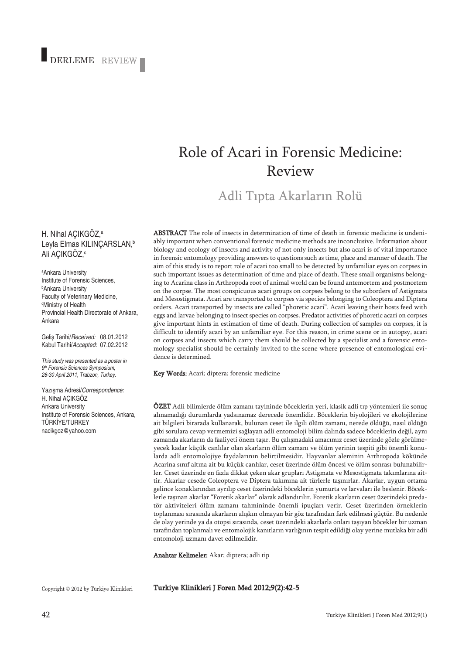# DERLEME REVIEW

## Role of Acari in Forensic Medicine: Review

Adli Tıpta Akarların Rolü

#### H. Nihal AÇIKGÖZ, a Leyla Elmas KILINÇARSLAN, b Ali AÇIKGOZ,°

a Ankara University Institute of Forensic Sciences, b Ankara University Faculty of Veterinary Medicine, c Ministry of Health Provincial Health Directorate of Ankara, Ankara

Geliş Tarihi/*Received:* 08.01.2012 Kabul Tarihi/*Accepted:* 07.02.2012

*This study was presented as a poster in 9th Forensic Sciences Symposium, 28-30 April 2011, Trabzon, Turkey.*

Yazışma Adresi/*Correspondence:* H. Nihal AÇIKGÖZ Ankara University Institute of Forensic Sciences, Ankara, TÜRKİYE/TURKEY nacikgoz@yahoo.com

ABSTRACT The role of insects in determination of time of death in forensic medicine is undeniably important when conventional forensic medicine methods are inconclusive. Information about biology and ecology of insects and activity of not only insects but also acari is of vital importance in forensic entomology providing answers to questions such as time, place and manner of death. The aim of this study is to report role of acari too small to be detected by unfamiliar eyes on corpses in such important issues as determination of time and place of death. These small organisms belonging to Acarina class in Arthropoda root of animal world can be found antemortem and postmortem on the corpse. The most conspicuous acari groups on corpses belong to the suborders of Astigmata and Mesostigmata. Acari are transported to corpses via species belonging to Coleoptera and Diptera orders. Acari transported by insects are called "phoretic acari". Acari leaving their hosts feed with eggs and larvae belonging to insect species on corpses. Predator activities of phoretic acari on corpses give important hints in estimation of time of death. During collection of samples on corpses, it is difficult to identify acari by an unfamiliar eye. For this reason, in crime scene or in autopsy, acari on corpses and insects which carry them should be collected by a specialist and a forensic entomology specialist should be certainly invited to the scene where presence of entomological evidence is determined.

Key Words: Acari; diptera; forensic medicine

ÖZET Adli bilimlerde ölüm zamanı tayininde böceklerin yeri, klasik adli tıp yöntemleri ile sonuç alınamadığı durumlarda yadsınamaz derecede önemlidir. Böceklerin biyolojileri ve ekolojilerine ait bilgileri birarada kullanarak, bulunan ceset ile ilgili ölüm zamanı, nerede öldüğü, nasıl öldüğü gibi sorulara cevap vermemizi sağlayan adli entomoloji bilim dalında sadece böceklerin değil, aynı zamanda akarların da faaliyeti önem taşır. Bu çalışmadaki amacımız ceset üzerinde gözle görülmeyecek kadar küçük canlılar olan akarların ölüm zamanı ve ölüm yerinin tespiti gibi önemli konularda adli entomolojiye faydalarının belirtilmesidir. Hayvanlar aleminin Arthropoda kökünde Acarina sınıf altına ait bu küçük canlılar, ceset üzerinde ölüm öncesi ve ölüm sonrası bulunabilirler. Ceset üzerinde en fazla dikkat çeken akar grupları Astigmata ve Mesostigmata takımlarına aittir. Akarlar cesede Coleoptera ve Diptera takımına ait türlerle taşınırlar. Akarlar, uygun ortama gelince konaklarından ayrılıp ceset üzerindeki böceklerin yumurta ve larvaları ile beslenir. Böceklerle taşınan akarlar "Foretik akarlar" olarak adlandırılır. Foretik akarların ceset üzerindeki predatör aktiviteleri ölüm zamanı tahmininde önemli ipuçları verir. Ceset üzerinden örneklerin toplanması sırasında akarların alışkın olmayan bir göz tarafından fark edilmesi güçtür. Bu nedenle de olay yerinde ya da otopsi sırasında, ceset üzerindeki akarlarla onları taşıyan böcekler bir uzman tarafından toplanmalı ve entomolojik kanıtların varlığının tespit edildiği olay yerine mutlaka bir adli entomoloji uzmanı davet edilmelidir.

Anahtar Kelimeler: Akar; diptera; adli tip

Copyright © 2012 by Türkiye Klinikleri

Turkiye Klinikleri J Foren Med 2012;9(2):42-5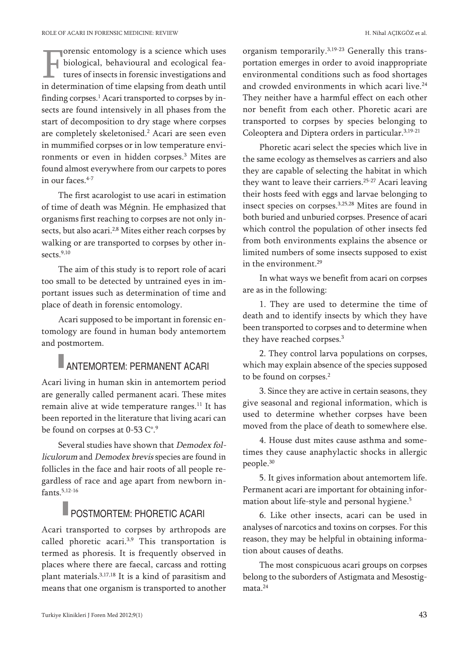orensic entomology is a science which uses biological, behavioural and ecological features of insects in forensic investigations and in determination of time elapsing from death until finding corpses. <sup>1</sup> Acari transported to corpses by insects are found intensively in all phases from the start of decomposition to dry stage where corpses are completely skeletonised. <sup>2</sup> Acari are seen even in mummified corpses or in low temperature environments or even in hidden corpses. <sup>3</sup> Mites are found almost everywhere from our carpets to pores in our faces. 4-7

The first acarologist to use acari in estimation of time of death was Mégnin. He emphasized that organisms first reaching to corpses are not only insects, but also acari.<sup>2,8</sup> Mites either reach corpses by walking or are transported to corpses by other insects. 9,10

The aim of this study is to report role of acari too small to be detected by untrained eyes in important issues such as determination of time and place of death in forensic entomology.

Acari supposed to be important in forensic entomology are found in human body antemortem and postmortem.

### ANTEMORTEM: PERMANENT ACARI

Acari living in human skin in antemortem period are generally called permanent acari. These mites remain alive at wide temperature ranges. <sup>11</sup> It has been reported in the literature that living acari can be found on corpses at 0-53 C°.<sup>9</sup>

Several studies have shown that Demodex folliculorum and Demodex brevis species are found in follicles in the face and hair roots of all people regardless of race and age apart from newborn infants. 5,12-16

## **POSTMORTEM: PHORETIC ACARI**

Acari transported to corpses by arthropods are called phoretic acari.<sup>3,9</sup> This transportation is termed as phoresis. It is frequently observed in places where there are faecal, carcass and rotting plant materials.<sup>3,17,18</sup> It is a kind of parasitism and means that one organism is transported to another

organism temporarily.<sup>3,19-23</sup> Generally this transportation emerges in order to avoid inappropriate environmental conditions such as food shortages and crowded environments in which acari live. 24 They neither have a harmful effect on each other nor benefit from each other. Phoretic acari are transported to corpses by species belonging to Coleoptera and Diptera orders in particular. 3,19-21

Phoretic acari select the species which live in the same ecology as themselves as carriers and also they are capable of selecting the habitat in which they want to leave their carriers. 25-27 Acari leaving their hosts feed with eggs and larvae belonging to insect species on corpses. 3,25,28 Mites are found in both buried and unburied corpses. Presence of acari which control the population of other insects fed from both environments explains the absence or limited numbers of some insects supposed to exist in the environment. 29

In what ways we benefit from acari on corpses are as in the following:

1. They are used to determine the time of death and to identify insects by which they have been transported to corpses and to determine when they have reached corpses. 3

2. They control larva populations on corpses, which may explain absence of the species supposed to be found on corpses. 2

3. Since they are active in certain seasons, they give seasonal and regional information, which is used to determine whether corpses have been moved from the place of death to somewhere else.

4. House dust mites cause asthma and sometimes they cause anaphylactic shocks in allergic people. 30

5. It gives information about antemortem life. Permanent acari are important for obtaining information about life-style and personal hygiene. 5

6. Like other insects, acari can be used in analyses of narcotics and toxins on corpses. For this reason, they may be helpful in obtaining information about causes of deaths.

The most conspicuous acari groups on corpses belong to the suborders of Astigmata and Mesostigmata. 24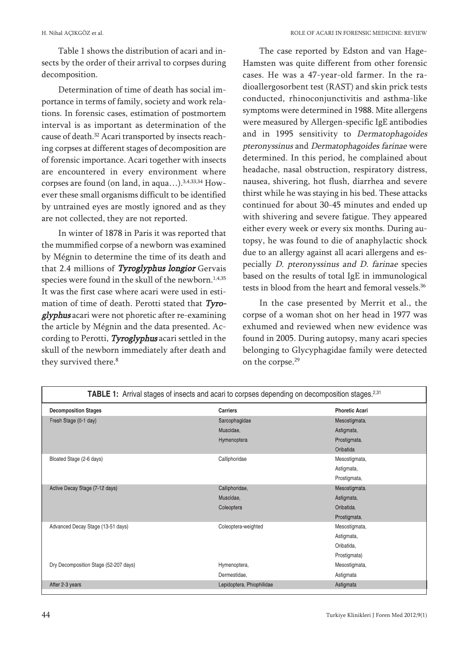Table 1 shows the distribution of acari and insects by the order of their arrival to corpses during decomposition.

Determination of time of death has social importance in terms of family, society and work relations. In forensic cases, estimation of postmortem interval is as important as determination of the cause of death. <sup>32</sup> Acari transported by insects reaching corpses at different stages of decomposition are of forensic importance. Acari together with insects are encountered in every environment where corpses are found (on land, in aqua...).<sup>3,4,33,34</sup> However these small organisms difficult to be identified by untrained eyes are mostly ignored and as they are not collected, they are not reported.

In winter of 1878 in Paris it was reported that the mummified corpse of a newborn was examined by Mégnin to determine the time of its death and that 2.4 millions of Tyroglyphus longior Gervais species were found in the skull of the newborn. 1,4,35 It was the first case where acari were used in estimation of time of death. Perotti stated that Tyroglyphus acari were not phoretic after re-examining the article by Mégnin and the data presented. According to Perotti, Tyroglyphus acari settled in the skull of the newborn immediately after death and they survived there. 8

The case reported by Edston and van Hage-Hamsten was quite different from other forensic cases. He was <sup>a</sup> 47-year-old farmer. In the radioallergosorbent test (RAST) and skin prick tests conducted, rhinoconjunctivitis and asthma-like symptoms were determined in 1988. Mite allergens were measured by Allergen-specific IgE antibodies and in 1995 sensitivity to Dermatophagoides pteronyssinus and Dermatophagoides farinae were determined. In this period, he complained about headache, nasal obstruction, respiratory distress, nausea, shivering, hot flush, diarrhea and severe thirst while he was staying in his bed. These attacks continued for about 30-45 minutes and ended up with shivering and severe fatigue. They appeared either every week or every six months. During autopsy, he was found to die of anaphylactic shock due to an allergy against all acari allergens and especially D. pteronyssinus and D. farinae species based on the results of total IgE in immunological tests in blood from the heart and femoral vessels. 36

In the case presented by Merrit et al., the corpse of <sup>a</sup> woman shot on her head in 1977 was exhumed and reviewed when new evidence was found in 2005. During autopsy, many acari species belonging to Glycyphagidae family were detected on the corpse.<sup>29</sup>

| <b>TABLE 1:</b> Arrival stages of insects and acari to corpses depending on decomposition stages. <sup>2,31</sup> |                           |                       |
|-------------------------------------------------------------------------------------------------------------------|---------------------------|-----------------------|
| <b>Decomposition Stages</b>                                                                                       | <b>Carriers</b>           | <b>Phoretic Acari</b> |
| Fresh Stage (0-1 day)                                                                                             | Sarcophagidae             | Mesostigmata,         |
|                                                                                                                   | Muscidae,                 | Astigmata,            |
|                                                                                                                   | Hymenoptera               | Prostigmata,          |
|                                                                                                                   |                           | Oribatida             |
| Bloated Stage (2-6 days)                                                                                          | Calliphoridae             | Mesostigmata,         |
|                                                                                                                   |                           | Astigmata,            |
|                                                                                                                   |                           | Prostigmata,          |
| Active Decay Stage (7-12 days)                                                                                    | Calliphoridae,            | Mesostigmata,         |
|                                                                                                                   | Muscidae,                 | Astigmata,            |
|                                                                                                                   | Coleoptera                | Oribatida.            |
|                                                                                                                   |                           | Prostigmata,          |
| Advanced Decay Stage (13-51 days)                                                                                 | Coleoptera-weighted       | Mesostigmata,         |
|                                                                                                                   |                           | Astigmata,            |
|                                                                                                                   |                           | Oribatida,            |
|                                                                                                                   |                           | Prostigmata)          |
| Dry Decomposition Stage (52-207 days)                                                                             | Hymenoptera,              | Mesostigmata,         |
|                                                                                                                   | Dermestidae,              | Astigmata             |
| After 2-3 years                                                                                                   | Lepidoptera, Phiophilidae | Astigmata             |